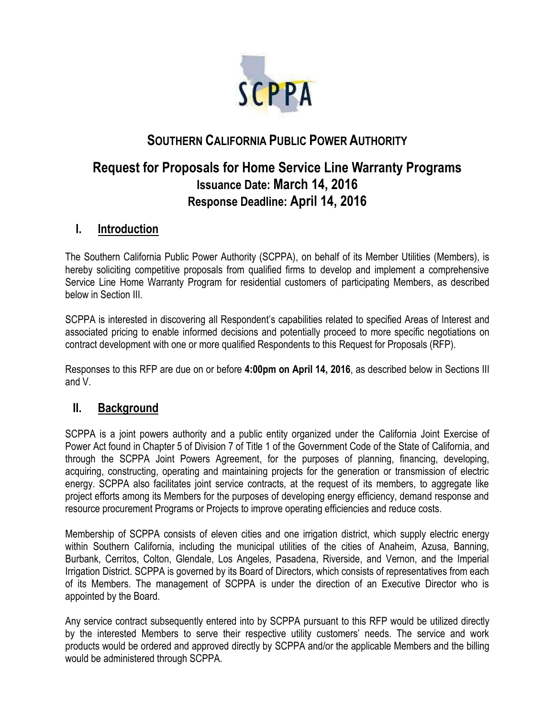

# **SOUTHERN CALIFORNIA PUBLIC POWER AUTHORITY**

# **Request for Proposals for Home Service Line Warranty Programs Issuance Date: March 14, 2016 Response Deadline: April 14, 2016**

### **I. Introduction**

The Southern California Public Power Authority (SCPPA), on behalf of its Member Utilities (Members), is hereby soliciting competitive proposals from qualified firms to develop and implement a comprehensive Service Line Home Warranty Program for residential customers of participating Members, as described below in Section III.

SCPPA is interested in discovering all Respondent's capabilities related to specified Areas of Interest and associated pricing to enable informed decisions and potentially proceed to more specific negotiations on contract development with one or more qualified Respondents to this Request for Proposals (RFP).

Responses to this RFP are due on or before **4:00pm on April 14, 2016**, as described below in Sections III and V.

#### **II. Background**

SCPPA is a joint powers authority and a public entity organized under the California Joint Exercise of Power Act found in Chapter 5 of Division 7 of Title 1 of the Government Code of the State of California, and through the SCPPA Joint Powers Agreement, for the purposes of planning, financing, developing, acquiring, constructing, operating and maintaining projects for the generation or transmission of electric energy. SCPPA also facilitates joint service contracts, at the request of its members, to aggregate like project efforts among its Members for the purposes of developing energy efficiency, demand response and resource procurement Programs or Projects to improve operating efficiencies and reduce costs.

Membership of SCPPA consists of eleven cities and one irrigation district, which supply electric energy within Southern California, including the municipal utilities of the cities of Anaheim, Azusa, Banning, Burbank, Cerritos, Colton, Glendale, Los Angeles, Pasadena, Riverside, and Vernon, and the Imperial Irrigation District. SCPPA is governed by its Board of Directors, which consists of representatives from each of its Members. The management of SCPPA is under the direction of an Executive Director who is appointed by the Board.

Any service contract subsequently entered into by SCPPA pursuant to this RFP would be utilized directly by the interested Members to serve their respective utility customers' needs. The service and work products would be ordered and approved directly by SCPPA and/or the applicable Members and the billing would be administered through SCPPA.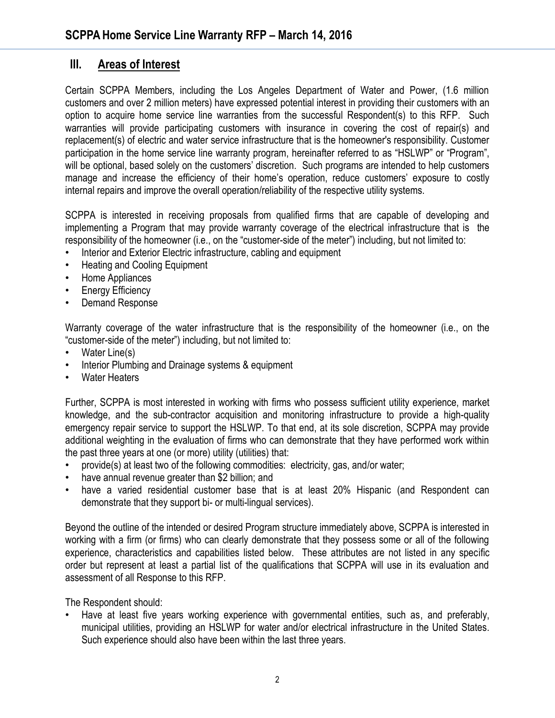## **III. Areas of Interest**

Certain SCPPA Members, including the Los Angeles Department of Water and Power, (1.6 million customers and over 2 million meters) have expressed potential interest in providing their customers with an option to acquire home service line warranties from the successful Respondent(s) to this RFP. Such warranties will provide participating customers with insurance in covering the cost of repair(s) and replacement(s) of electric and water service infrastructure that is the homeowner's responsibility. Customer participation in the home service line warranty program, hereinafter referred to as "HSLWP" or "Program", will be optional, based solely on the customers' discretion. Such programs are intended to help customers manage and increase the efficiency of their home's operation, reduce customers' exposure to costly internal repairs and improve the overall operation/reliability of the respective utility systems.

SCPPA is interested in receiving proposals from qualified firms that are capable of developing and implementing a Program that may provide warranty coverage of the electrical infrastructure that is the responsibility of the homeowner (i.e., on the "customer-side of the meter") including, but not limited to:

- Interior and Exterior Electric infrastructure, cabling and equipment
- Heating and Cooling Equipment
- Home Appliances
- **Energy Efficiency**
- Demand Response

Warranty coverage of the water infrastructure that is the responsibility of the homeowner (i.e., on the "customer-side of the meter") including, but not limited to:

- Water Line(s)
- Interior Plumbing and Drainage systems & equipment
- Water Heaters

Further, SCPPA is most interested in working with firms who possess sufficient utility experience, market knowledge, and the sub-contractor acquisition and monitoring infrastructure to provide a high-quality emergency repair service to support the HSLWP. To that end, at its sole discretion, SCPPA may provide additional weighting in the evaluation of firms who can demonstrate that they have performed work within the past three years at one (or more) utility (utilities) that:

- provide(s) at least two of the following commodities: electricity, gas, and/or water;
- have annual revenue greater than \$2 billion; and
- have a varied residential customer base that is at least 20% Hispanic (and Respondent can demonstrate that they support bi- or multi-lingual services).

Beyond the outline of the intended or desired Program structure immediately above, SCPPA is interested in working with a firm (or firms) who can clearly demonstrate that they possess some or all of the following experience, characteristics and capabilities listed below. These attributes are not listed in any specific order but represent at least a partial list of the qualifications that SCPPA will use in its evaluation and assessment of all Response to this RFP.

The Respondent should:

• Have at least five years working experience with governmental entities, such as, and preferably, municipal utilities, providing an HSLWP for water and/or electrical infrastructure in the United States. Such experience should also have been within the last three years.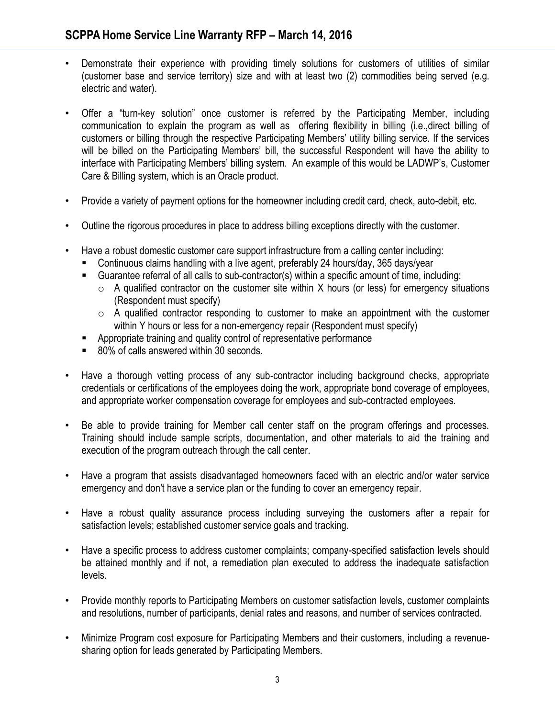- Demonstrate their experience with providing timely solutions for customers of utilities of similar (customer base and service territory) size and with at least two (2) commodities being served (e.g. electric and water).
- Offer a "turn-key solution" once customer is referred by the Participating Member, including communication to explain the program as well as offering flexibility in billing (i.e.,direct billing of customers or billing through the respective Participating Members' utility billing service. If the services will be billed on the Participating Members' bill, the successful Respondent will have the ability to interface with Participating Members' billing system. An example of this would be LADWP's, Customer Care & Billing system, which is an Oracle product.
- Provide a variety of payment options for the homeowner including credit card, check, auto-debit, etc.
- Outline the rigorous procedures in place to address billing exceptions directly with the customer.
- Have a robust domestic customer care support infrastructure from a calling center including:
	- Continuous claims handling with a live agent, preferably 24 hours/day, 365 days/year
	- Guarantee referral of all calls to sub-contractor(s) within a specific amount of time, including:
		- $\circ$  A qualified contractor on the customer site within X hours (or less) for emergency situations (Respondent must specify)
		- $\circ$  A qualified contractor responding to customer to make an appointment with the customer within Y hours or less for a non-emergency repair (Respondent must specify)
	- Appropriate training and quality control of representative performance
	- 80% of calls answered within 30 seconds.
- Have a thorough vetting process of any sub-contractor including background checks, appropriate credentials or certifications of the employees doing the work, appropriate bond coverage of employees, and appropriate worker compensation coverage for employees and sub-contracted employees.
- Be able to provide training for Member call center staff on the program offerings and processes. Training should include sample scripts, documentation, and other materials to aid the training and execution of the program outreach through the call center.
- Have a program that assists disadvantaged homeowners faced with an electric and/or water service emergency and don't have a service plan or the funding to cover an emergency repair.
- Have a robust quality assurance process including surveying the customers after a repair for satisfaction levels; established customer service goals and tracking.
- Have a specific process to address customer complaints; company-specified satisfaction levels should be attained monthly and if not, a remediation plan executed to address the inadequate satisfaction levels.
- Provide monthly reports to Participating Members on customer satisfaction levels, customer complaints and resolutions, number of participants, denial rates and reasons, and number of services contracted.
- Minimize Program cost exposure for Participating Members and their customers, including a revenuesharing option for leads generated by Participating Members.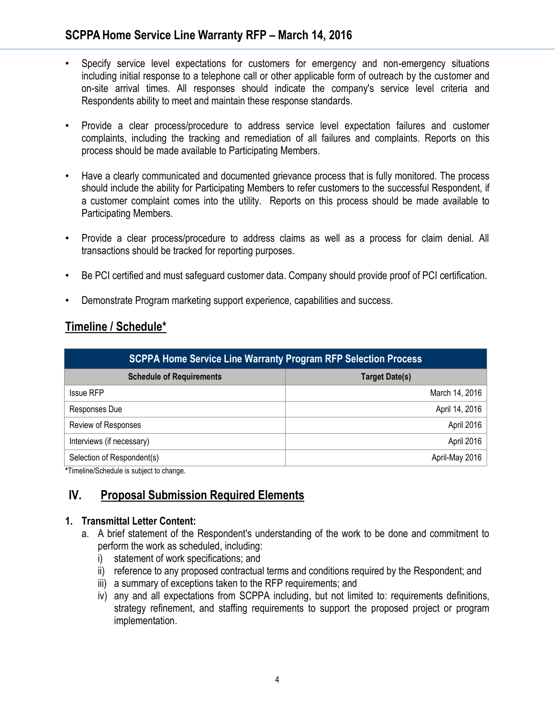### **SCPPA Home Service Line Warranty RFP – March 14, 2016**

- Specify service level expectations for customers for emergency and non-emergency situations including initial response to a telephone call or other applicable form of outreach by the customer and on-site arrival times. All responses should indicate the company's service level criteria and Respondents ability to meet and maintain these response standards.
- Provide a clear process/procedure to address service level expectation failures and customer complaints, including the tracking and remediation of all failures and complaints. Reports on this process should be made available to Participating Members.
- Have a clearly communicated and documented grievance process that is fully monitored. The process should include the ability for Participating Members to refer customers to the successful Respondent, if a customer complaint comes into the utility. Reports on this process should be made available to Participating Members.
- Provide a clear process/procedure to address claims as well as a process for claim denial. All transactions should be tracked for reporting purposes.
- Be PCI certified and must safeguard customer data. Company should provide proof of PCI certification.
- Demonstrate Program marketing support experience, capabilities and success.

#### **Timeline / Schedule\***

| <b>SCPPA Home Service Line Warranty Program RFP Selection Process</b> |                       |
|-----------------------------------------------------------------------|-----------------------|
| <b>Schedule of Requirements</b>                                       | <b>Target Date(s)</b> |
| <b>Issue RFP</b>                                                      | March 14, 2016        |
| Responses Due                                                         | April 14, 2016        |
| Review of Responses                                                   | April 2016            |
| Interviews (if necessary)                                             | April 2016            |
| Selection of Respondent(s)                                            | April-May 2016        |

**\***Timeline/Schedule is subject to change.

#### **IV. Proposal Submission Required Elements**

#### **1. Transmittal Letter Content:**

- a. A brief statement of the Respondent's understanding of the work to be done and commitment to perform the work as scheduled, including:
	- i) statement of work specifications; and
	- ii) reference to any proposed contractual terms and conditions required by the Respondent; and
	- iii) a summary of exceptions taken to the RFP requirements; and
	- iv) any and all expectations from SCPPA including, but not limited to: requirements definitions, strategy refinement, and staffing requirements to support the proposed project or program implementation.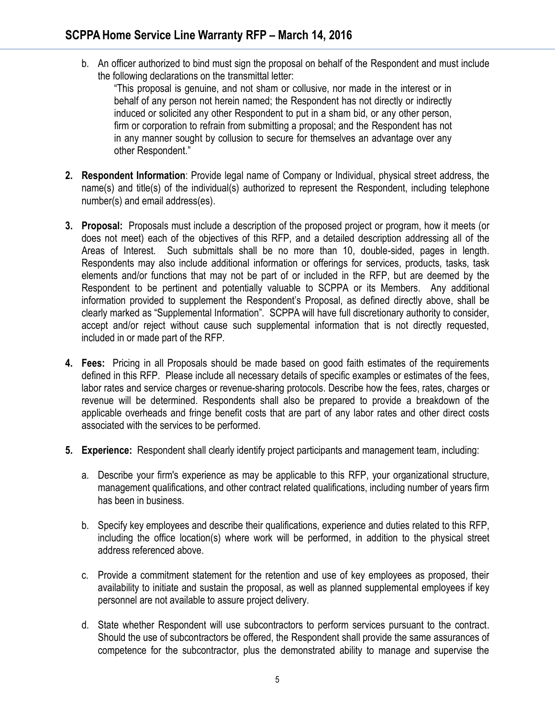b. An officer authorized to bind must sign the proposal on behalf of the Respondent and must include the following declarations on the transmittal letter:

"This proposal is genuine, and not sham or collusive, nor made in the interest or in behalf of any person not herein named; the Respondent has not directly or indirectly induced or solicited any other Respondent to put in a sham bid, or any other person, firm or corporation to refrain from submitting a proposal; and the Respondent has not in any manner sought by collusion to secure for themselves an advantage over any other Respondent."

- **2. Respondent Information**: Provide legal name of Company or Individual, physical street address, the name(s) and title(s) of the individual(s) authorized to represent the Respondent, including telephone number(s) and email address(es).
- **3. Proposal:** Proposals must include a description of the proposed project or program, how it meets (or does not meet) each of the objectives of this RFP, and a detailed description addressing all of the Areas of Interest. Such submittals shall be no more than 10, double-sided, pages in length. Respondents may also include additional information or offerings for services, products, tasks, task elements and/or functions that may not be part of or included in the RFP, but are deemed by the Respondent to be pertinent and potentially valuable to SCPPA or its Members. Any additional information provided to supplement the Respondent's Proposal, as defined directly above, shall be clearly marked as "Supplemental Information". SCPPA will have full discretionary authority to consider, accept and/or reject without cause such supplemental information that is not directly requested, included in or made part of the RFP.
- **4. Fees:** Pricing in all Proposals should be made based on good faith estimates of the requirements defined in this RFP. Please include all necessary details of specific examples or estimates of the fees, labor rates and service charges or revenue-sharing protocols. Describe how the fees, rates, charges or revenue will be determined. Respondents shall also be prepared to provide a breakdown of the applicable overheads and fringe benefit costs that are part of any labor rates and other direct costs associated with the services to be performed.
- **5. Experience:** Respondent shall clearly identify project participants and management team, including:
	- a. Describe your firm's experience as may be applicable to this RFP, your organizational structure, management qualifications, and other contract related qualifications, including number of years firm has been in business.
	- b. Specify key employees and describe their qualifications, experience and duties related to this RFP, including the office location(s) where work will be performed, in addition to the physical street address referenced above.
	- c. Provide a commitment statement for the retention and use of key employees as proposed, their availability to initiate and sustain the proposal, as well as planned supplemental employees if key personnel are not available to assure project delivery.
	- d. State whether Respondent will use subcontractors to perform services pursuant to the contract. Should the use of subcontractors be offered, the Respondent shall provide the same assurances of competence for the subcontractor, plus the demonstrated ability to manage and supervise the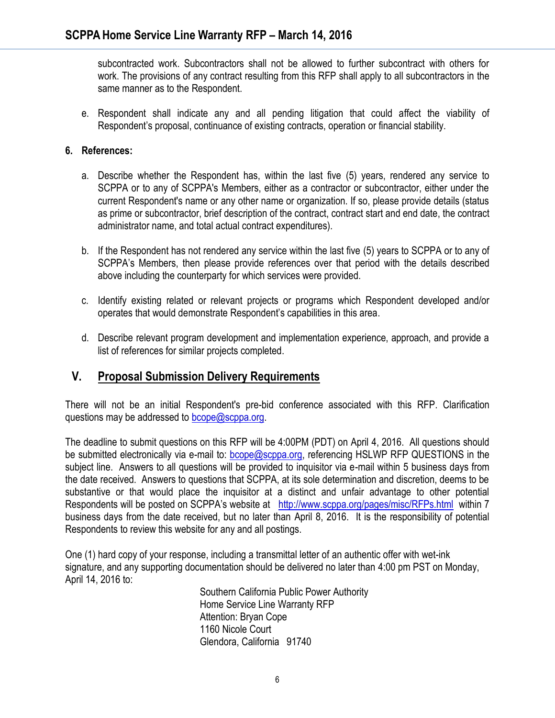subcontracted work. Subcontractors shall not be allowed to further subcontract with others for work. The provisions of any contract resulting from this RFP shall apply to all subcontractors in the same manner as to the Respondent.

e. Respondent shall indicate any and all pending litigation that could affect the viability of Respondent's proposal, continuance of existing contracts, operation or financial stability.

#### **6. References:**

- a. Describe whether the Respondent has, within the last five (5) years, rendered any service to SCPPA or to any of SCPPA's Members, either as a contractor or subcontractor, either under the current Respondent's name or any other name or organization. If so, please provide details (status as prime or subcontractor, brief description of the contract, contract start and end date, the contract administrator name, and total actual contract expenditures).
- b. If the Respondent has not rendered any service within the last five (5) years to SCPPA or to any of SCPPA's Members, then please provide references over that period with the details described above including the counterparty for which services were provided.
- c. Identify existing related or relevant projects or programs which Respondent developed and/or operates that would demonstrate Respondent's capabilities in this area.
- d. Describe relevant program development and implementation experience, approach, and provide a list of references for similar projects completed.

#### **V. Proposal Submission Delivery Requirements**

There will not be an initial Respondent's pre-bid conference associated with this RFP. Clarification questions may be addressed to **bcope@scppa.org**.

The deadline to submit questions on this RFP will be 4:00PM (PDT) on April 4, 2016. All questions should be submitted electronically via e-mail to: [bcope@scppa.org,](file://app-server/data/RFPs_RFQs_RFIs/Public%20Benefits%20Committee/Paperless%20Rebate%20Automation/RFP/bcope@scppa.org) referencing HSLWP RFP QUESTIONS in the subject line. Answers to all questions will be provided to inquisitor via e-mail within 5 business days from the date received. Answers to questions that SCPPA, at its sole determination and discretion, deems to be substantive or that would place the inquisitor at a distinct and unfair advantage to other potential Respondents will be posted on SCPPA's website at <http://www.scppa.org/pages/misc/RFPs.html>within 7 business days from the date received, but no later than April 8, 2016. It is the responsibility of potential Respondents to review this website for any and all postings.

One (1) hard copy of your response, including a transmittal letter of an authentic offer with wet-ink signature, and any supporting documentation should be delivered no later than 4:00 pm PST on Monday, April 14, 2016 to:

> Southern California Public Power Authority Home Service Line Warranty RFP Attention: Bryan Cope 1160 Nicole Court Glendora, California 91740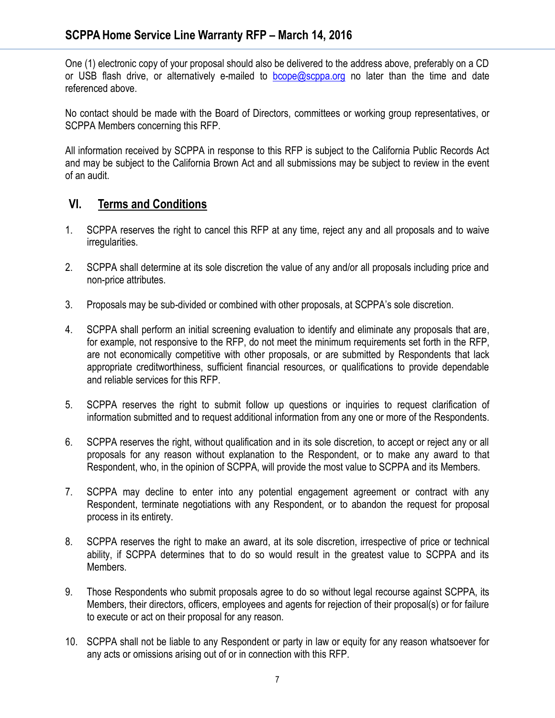One (1) electronic copy of your proposal should also be delivered to the address above, preferably on a CD or USB flash drive, or alternatively e-mailed to  $bcope@scppa.org$  no later than the time and date referenced above.

No contact should be made with the Board of Directors, committees or working group representatives, or SCPPA Members concerning this RFP.

All information received by SCPPA in response to this RFP is subject to the California Public Records Act and may be subject to the California Brown Act and all submissions may be subject to review in the event of an audit.

### **VI. Terms and Conditions**

- 1. SCPPA reserves the right to cancel this RFP at any time, reject any and all proposals and to waive irregularities.
- 2. SCPPA shall determine at its sole discretion the value of any and/or all proposals including price and non-price attributes.
- 3. Proposals may be sub-divided or combined with other proposals, at SCPPA's sole discretion.
- 4. SCPPA shall perform an initial screening evaluation to identify and eliminate any proposals that are, for example, not responsive to the RFP, do not meet the minimum requirements set forth in the RFP, are not economically competitive with other proposals, or are submitted by Respondents that lack appropriate creditworthiness, sufficient financial resources, or qualifications to provide dependable and reliable services for this RFP.
- 5. SCPPA reserves the right to submit follow up questions or inquiries to request clarification of information submitted and to request additional information from any one or more of the Respondents.
- 6. SCPPA reserves the right, without qualification and in its sole discretion, to accept or reject any or all proposals for any reason without explanation to the Respondent, or to make any award to that Respondent, who, in the opinion of SCPPA, will provide the most value to SCPPA and its Members.
- 7. SCPPA may decline to enter into any potential engagement agreement or contract with any Respondent, terminate negotiations with any Respondent, or to abandon the request for proposal process in its entirety.
- 8. SCPPA reserves the right to make an award, at its sole discretion, irrespective of price or technical ability, if SCPPA determines that to do so would result in the greatest value to SCPPA and its Members.
- 9. Those Respondents who submit proposals agree to do so without legal recourse against SCPPA, its Members, their directors, officers, employees and agents for rejection of their proposal(s) or for failure to execute or act on their proposal for any reason.
- 10. SCPPA shall not be liable to any Respondent or party in law or equity for any reason whatsoever for any acts or omissions arising out of or in connection with this RFP.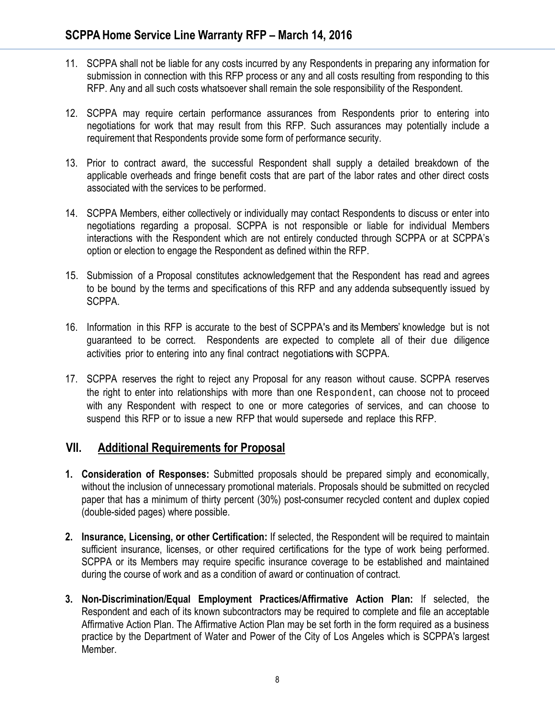- 11. SCPPA shall not be liable for any costs incurred by any Respondents in preparing any information for submission in connection with this RFP process or any and all costs resulting from responding to this RFP. Any and all such costs whatsoever shall remain the sole responsibility of the Respondent.
- 12. SCPPA may require certain performance assurances from Respondents prior to entering into negotiations for work that may result from this RFP. Such assurances may potentially include a requirement that Respondents provide some form of performance security.
- 13. Prior to contract award, the successful Respondent shall supply a detailed breakdown of the applicable overheads and fringe benefit costs that are part of the labor rates and other direct costs associated with the services to be performed.
- 14. SCPPA Members, either collectively or individually may contact Respondents to discuss or enter into negotiations regarding a proposal. SCPPA is not responsible or liable for individual Members interactions with the Respondent which are not entirely conducted through SCPPA or at SCPPA's option or election to engage the Respondent as defined within the RFP.
- 15. Submission of a Proposal constitutes acknowledgement that the Respondent has read and agrees to be bound by the terms and specifications of this RFP and any addenda subsequently issued by SCPPA.
- 16. Information in this RFP is accurate to the best of SCPPA's and its Members' knowledge but is not guaranteed to be correct. Respondents are expected to complete all of their due diligence activities prior to entering into any final contract negotiationswith SCPPA.
- 17. SCPPA reserves the right to reject any Proposal for any reason without cause. SCPPA reserves the right to enter into relationships with more than one Respondent, can choose not to proceed with any Respondent with respect to one or more categories of services, and can choose to suspend this RFP or to issue a new RFP that would supersede and replace this RFP.

## **VII. Additional Requirements for Proposal**

- **1. Consideration of Responses:** Submitted proposals should be prepared simply and economically, without the inclusion of unnecessary promotional materials. Proposals should be submitted on recycled paper that has a minimum of thirty percent (30%) post-consumer recycled content and duplex copied (double-sided pages) where possible.
- **2. Insurance, Licensing, or other Certification:** If selected, the Respondent will be required to maintain sufficient insurance, licenses, or other required certifications for the type of work being performed. SCPPA or its Members may require specific insurance coverage to be established and maintained during the course of work and as a condition of award or continuation of contract.
- **3. Non-Discrimination/Equal Employment Practices/Affirmative Action Plan:** If selected, the Respondent and each of its known subcontractors may be required to complete and file an acceptable Affirmative Action Plan. The Affirmative Action Plan may be set forth in the form required as a business practice by the Department of Water and Power of the City of Los Angeles which is SCPPA's largest Member.